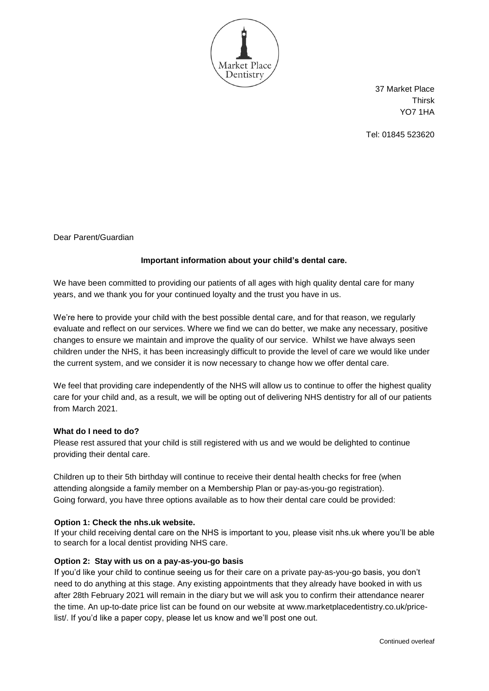

37 Market Place Thirsk YO7 1HA

Tel: 01845 523620

Dear Parent/Guardian

## **Important information about your child's dental care.**

We have been committed to providing our patients of all ages with high quality dental care for many years, and we thank you for your continued loyalty and the trust you have in us.

We're here to provide your child with the best possible dental care, and for that reason, we regularly evaluate and reflect on our services. Where we find we can do better, we make any necessary, positive changes to ensure we maintain and improve the quality of our service. Whilst we have always seen children under the NHS, it has been increasingly difficult to provide the level of care we would like under the current system, and we consider it is now necessary to change how we offer dental care.

We feel that providing care independently of the NHS will allow us to continue to offer the highest quality care for your child and, as a result, we will be opting out of delivering NHS dentistry for all of our patients from March 2021.

### **What do I need to do?**

Please rest assured that your child is still registered with us and we would be delighted to continue providing their dental care.

Children up to their 5th birthday will continue to receive their dental health checks for free (when attending alongside a family member on a Membership Plan or pay-as-you-go registration). Going forward, you have three options available as to how their dental care could be provided:

### **Option 1: Check the nhs.uk website.**

If your child receiving dental care on the NHS is important to you, please visit nhs.uk where you'll be able to search for a local dentist providing NHS care.

### **Option 2: Stay with us on a pay-as-you-go basis**

If you'd like your child to continue seeing us for their care on a private pay-as-you-go basis, you don't need to do anything at this stage. Any existing appointments that they already have booked in with us after 28th February 2021 will remain in the diary but we will ask you to confirm their attendance nearer the time. An up-to-date price list can be found on our website at [www.marketplacedentistry.co.uk/price](https://www.marketplacedentistry.co.uk/price-list/)[list/.](https://www.marketplacedentistry.co.uk/price-list/) If you'd like a paper copy, please let us know and we'll post one out.